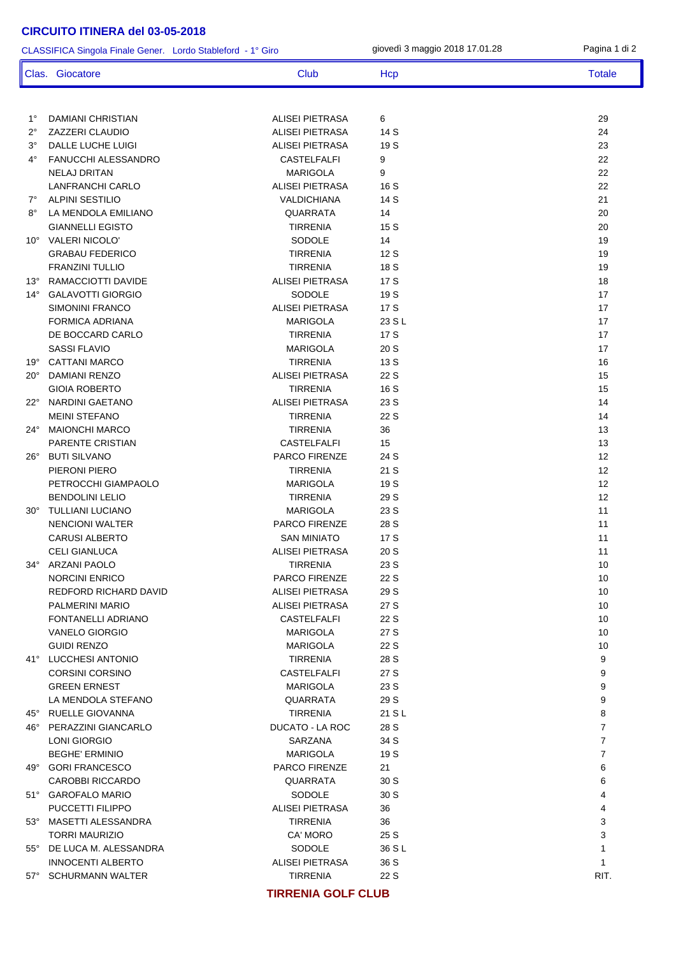1° DAMIANI CHRISTIAN ALISEI PIETRASA 6 29 2° ZAZZERI CLAUDIO ALISEI PIETRASA 14 S 24 3° DALLE LUCHE LUIGI ALISEI PIETRASA 19 S 23 4° FANUCCHI ALESSANDRO CASTELFALFI 9 22 NELAJ DRITAN MARIGOLA 9 22 LANFRANCHI CARLO ALISEI PIETRASA 16 S 22 7° ALPINI SESTILIO VALDICHIANA 14 S 21 8° LA MENDOLA EMILIANO QUARRATA 14 20 GIANNELLI EGISTO TIRRENIA 15 S 20 10° VALERI NICOLO' SODOLE 14 19 GRABAU FEDERICO TIRRENIA 12 S 19 FRANZINI TULLIO TIRRENIA 18 S 19 13° RAMACCIOTTI DAVIDE 18 18 ALISEI PIETRASA 17 S 14° GALAVOTTI GIORGIO SODOLE 19 S 17 SIMONINI FRANCO ALISEI PIETRASA 17 S 17 FORMICA ADRIANA 17 DE BOCCARD CARLO TIRRENIA 17 S 17 SASSI FLAVIO MARIGOLA 20 S 17 19° CATTANI MARCO TIRRENIA 13 S 16 20° DAMIANI RENZO ALISEI PIETRASA 22 S 15 GIOIA ROBERTO TIRRENIA 16 S 15 22° NARDINI GAETANO ALISEI PIETRASA 23 S 14 MEINI STEFANO TIRRENIA 22 S 14 24° MAIONCHI MARCO TIRRENIA 36 13 PARENTE CRISTIAN 13 26° BUTI SILVANO 12<br>PARCO FIRENZE 24 S 12 PIERONI PIERO TIRRENIA 21 S 12 PETROCCHI GIAMPAOLO MARIGOLA 19 S 12 BENDOLINI LELIO TIRRENIA 29 S 12 30° TULLIANI LUCIANO MARIGOLA 23 S 11 NENCIONI WALTER PARCO FIRENZE 28 S 11 CARUSI ALBERTO SAN MINIATO 17 S 11 CELI GIANLUCA **ALISEI PIETRASA** 20 S 11 34° ARZANI PAOLO TIRRENIA 23 S 10 NORCINI ENRICO **PARCO FIRENZE** 22 S 10 REDFORD RICHARD DAVID ALISEI PIETRASA 29 S 10 PALMERINI MARIO ALISEI PIETRASA 27 S 10 FONTANELLI ADRIANO CASTELFALFI 22 S 10 VANELO GIORGIO MARIGOLA 27 S 10 GUIDI RENZO MARIGOLA 22 S 10 41° LUCCHESI ANTONIO TIRRENIA 28 S 9 CORSINI CORSINO CASTELFALFI 27 S 9 GREEN ERNEST MARIGOLA 23 S 9 LA MENDOLA STEFANO QUARRATA 29 S 9 45° RUELLE GIOVANNA TIRRENIA 21 S L 8 46° PERAZZINI GIANCARLO DUCATO - LA ROC 28 S 7 LONI GIORGIO SARZANA 34 S 7 BEGHE' ERMINIO MARIGOLA 19 S 7 And **GORI FRANCESCO** And the second of the part of the part of the second of the second of the second of the second of the second of the second of the second of the second of the second of the second of the second of the s CAROBBI RICCARDO QUARRATA 30 S 6 51° GAROFALO MARIO SODOLE 30 S 4 PUCCETTI FILIPPO ALISEI PIETRASA 36 4 53° MASETTI ALESSANDRA TIRRENIA 36 3 TORRI MAURIZIO CA' MORO 25 S 3 55° DE LUCA M. ALESSANDRA SODOLE 36 S L 1 INNOCENTI ALBERTO ALISEI PIETRASA 36 S 1 57° SCHURMANN WALTER TIRRENIA 22 S RIT. CLASSIFICA Singola Finale Gener. Lordo Stableford - 1° Giro giovedì 3 maggio 2018 17.01.28 Pagina 1 di 2 Clas. Giocatore Club Club Hcp Hcp Totale

**TIRRENIA GOLF CLUB**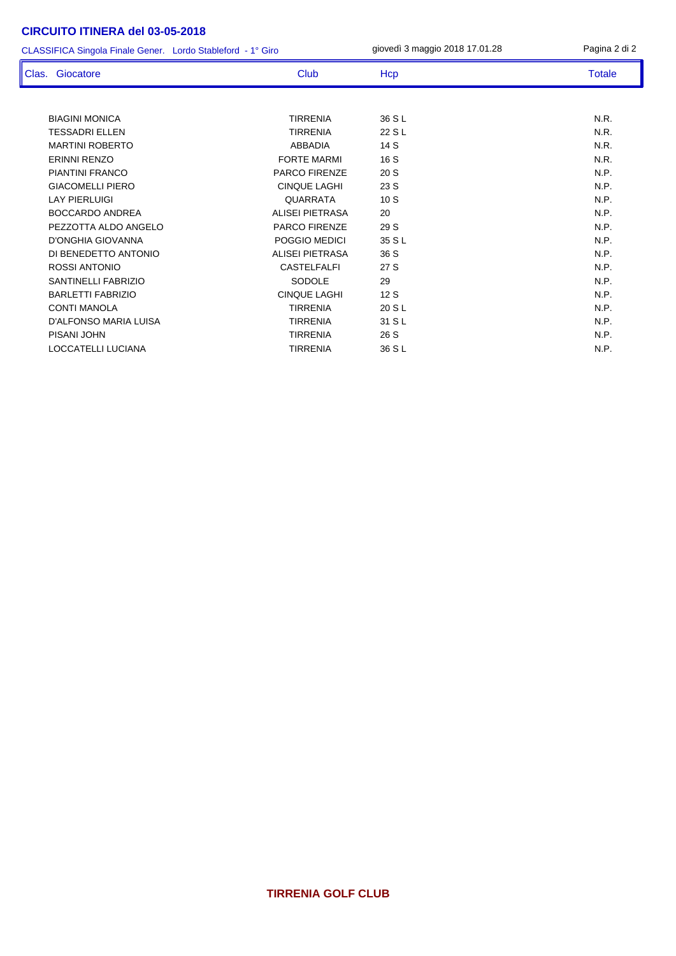CLASSIFICA Singola Finale Gener. Lordo Stableford - 1° Giro giovedì 3 maggio 2018 17.01.28 Pagina 2 di 2

| Clas. Giocatore              | Club                   | Hcp    | <b>Totale</b> |
|------------------------------|------------------------|--------|---------------|
|                              |                        |        |               |
| <b>BIAGINI MONICA</b>        | <b>TIRRENIA</b>        | 36 S L | N.R.          |
| <b>TESSADRI ELLEN</b>        | <b>TIRRENIA</b>        | 22 S L | N.R.          |
| <b>MARTINI ROBERTO</b>       | <b>ABBADIA</b>         | 14 S   | N.R.          |
| <b>ERINNI RENZO</b>          | <b>FORTE MARMI</b>     | 16 S   | N.R.          |
| <b>PIANTINI FRANCO</b>       | <b>PARCO FIRENZE</b>   | 20 S   | N.P.          |
| <b>GIACOMELLI PIERO</b>      | <b>CINQUE LAGHI</b>    | 23 S   | N.P.          |
| <b>LAY PIERLUIGI</b>         | QUARRATA               | 10S    | N.P.          |
| <b>BOCCARDO ANDREA</b>       | <b>ALISEI PIETRASA</b> | 20     | N.P.          |
| PEZZOTTA ALDO ANGELO         | <b>PARCO FIRENZE</b>   | 29 S   | N.P.          |
| D'ONGHIA GIOVANNA            | POGGIO MEDICI          | 35 S L | N.P.          |
| DI BENEDETTO ANTONIO         | ALISEI PIETRASA        | 36 S   | N.P.          |
| ROSSI ANTONIO                | <b>CASTELFALFI</b>     | 27 S   | N.P.          |
| SANTINELLI FABRIZIO          | SODOLE                 | 29     | N.P.          |
| <b>BARLETTI FABRIZIO</b>     | <b>CINQUE LAGHI</b>    | 12S    | N.P.          |
| <b>CONTI MANOLA</b>          | <b>TIRRENIA</b>        | 20 S L | N.P.          |
| <b>D'ALFONSO MARIA LUISA</b> | <b>TIRRENIA</b>        | 31 S L | N.P.          |
| PISANI JOHN                  | <b>TIRRENIA</b>        | 26 S   | N.P.          |
| LOCCATELLI LUCIANA           | <b>TIRRENIA</b>        | 36 S L | N.P.          |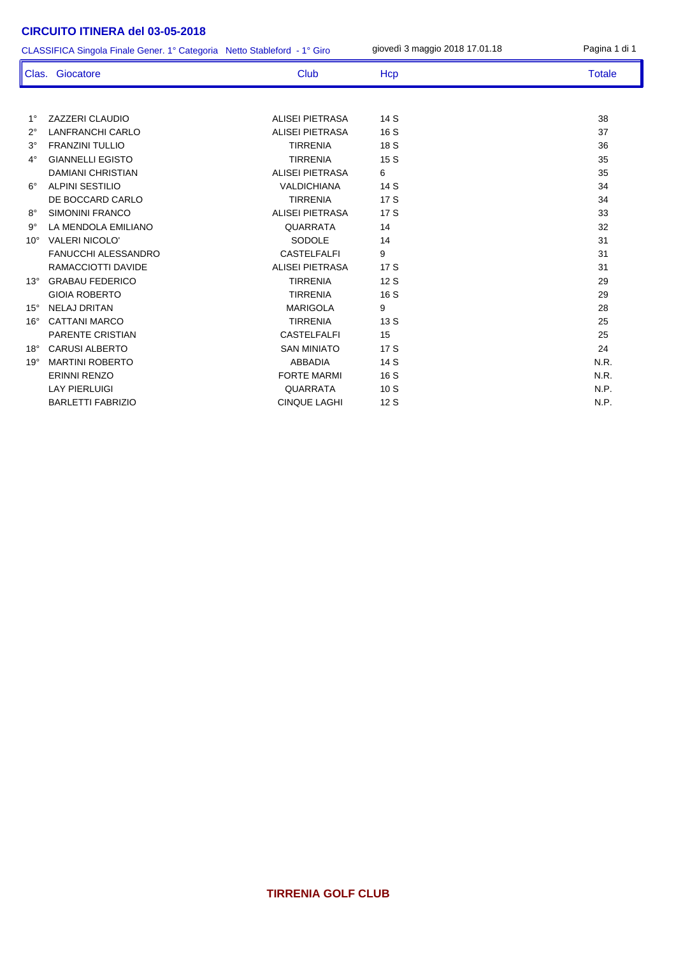1° ZAZZERI CLAUDIO ALISEI PIETRASA 14 S 38 2° LANFRANCHI CARLO ALISEI PIETRASA 16 S 37 3° FRANZINI TULLIO TIRRENIA 18 S 36 4° GIANNELLI EGISTO TIRRENIA 15 S 35 DAMIANI CHRISTIAN ALISEI PIETRASA 6 35 6° ALPINI SESTILIO VALDICHIANA 14 S 34 DE BOCCARD CARLO TIRRENIA 17 S 34 8° SIMONINI FRANCO ALISEI PIETRASA 17 S 33 9° LA MENDOLA EMILIANO QUARRATA 14 32 10° VALERI NICOLO' SODOLE 14 31 FANUCCHI ALESSANDRO CASTELFALFI 9 31 RAMACCIOTTI DAVIDE ALISEI PIETRASA 17 S 31 13° GRABAU FEDERICO TIRRENIA 12 S 29 GIOIA ROBERTO CONSULTERENIA 16 S 29 15° NELAJ DRITAN MARIGOLA 9 28 16° CATTANI MARCO TIRRENIA 13 S 25 PARENTE CRISTIAN 25 18° CARUSI ALBERTO SAN MINIATO 17 S 24 19° MARTINI ROBERTO ABBADIA 14 S N.R. ERINNI RENZO FORTE MARMI 16 S N.R. LAY PIERLUIGI QUARRATA 10 S N.P. BARLETTI FABRIZIO CINQUE LAGHI 12 S N.P. CLASSIFICA Singola Finale Gener. 1° Categoria Netto Stableford - 1° Giro giovedì 3 maggio 2018 17.01.18 Pagina 1 di 1 Clas. Giocatore Club Club Hcp Totale